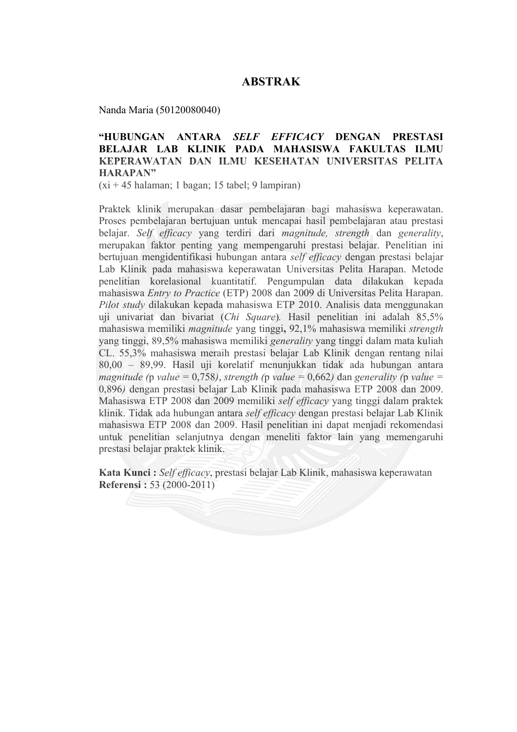## **ABSTRAK**

Nanda Maria (50120080040)

## **"HUBUNGAN ANTARA** *SELF EFFICACY* **DENGAN PRESTASI BELAJAR LAB KLINIK PADA MAHASISWA FAKULTAS ILMU KEPERAWATAN DAN ILMU KESEHATAN UNIVERSITAS PELITA HARAPAN"**

(xi + 45 halaman; 1 bagan; 15 tabel; 9 lampiran)

Praktek klinik merupakan dasar pembelajaran bagi mahasiswa keperawatan. Proses pembelajaran bertujuan untuk mencapai hasil pembelajaran atau prestasi belajar. *Self efficacy* yang terdiri dari *magnitude, strength* dan *generality*, merupakan faktor penting yang mempengaruhi prestasi belajar. Penelitian ini bertujuan mengidentifikasi hubungan antara *self efficacy* dengan prestasi belajar Lab Klinik pada mahasiswa keperawatan Universitas Pelita Harapan. Metode penelitian korelasional kuantitatif. Pengumpulan data dilakukan kepada mahasiswa *Entry to Practice* (ETP) 2008 dan 2009 di Universitas Pelita Harapan. *Pilot study* dilakukan kepada mahasiswa ETP 2010. Analisis data menggunakan uji univariat dan bivariat (*Chi Square*)*.* Hasil penelitian ini adalah 85,5% mahasiswa memiliki *magnitude* yang tinggi**,** 92,1% mahasiswa memiliki *strength* yang tinggi, 89,5% mahasiswa memiliki *generality* yang tinggi dalam mata kuliah CL. 55,3% mahasiswa meraih prestasi belajar Lab Klinik dengan rentang nilai 80,00 – 89,99. Hasil uji korelatif menunjukkan tidak ada hubungan antara *magnitude* (*p value* = 0,758), *strength* (*p value* = 0,662) dan *generality* (*p value* = 0,896*)* dengan prestasi belajar Lab Klinik pada mahasiswa ETP 2008 dan 2009. Mahasiswa ETP 2008 dan 2009 memiliki *self efficacy* yang tinggi dalam praktek klinik. Tidak ada hubungan antara *self efficacy* dengan prestasi belajar Lab Klinik mahasiswa ETP 2008 dan 2009. Hasil penelitian ini dapat menjadi rekomendasi untuk penelitian selanjutnya dengan meneliti faktor lain yang memengaruhi prestasi belajar praktek klinik.

**Kata Kunci :** *Self efficacy*, prestasi belajar Lab Klinik, mahasiswa keperawatan **Referensi :** 53 (2000-2011)